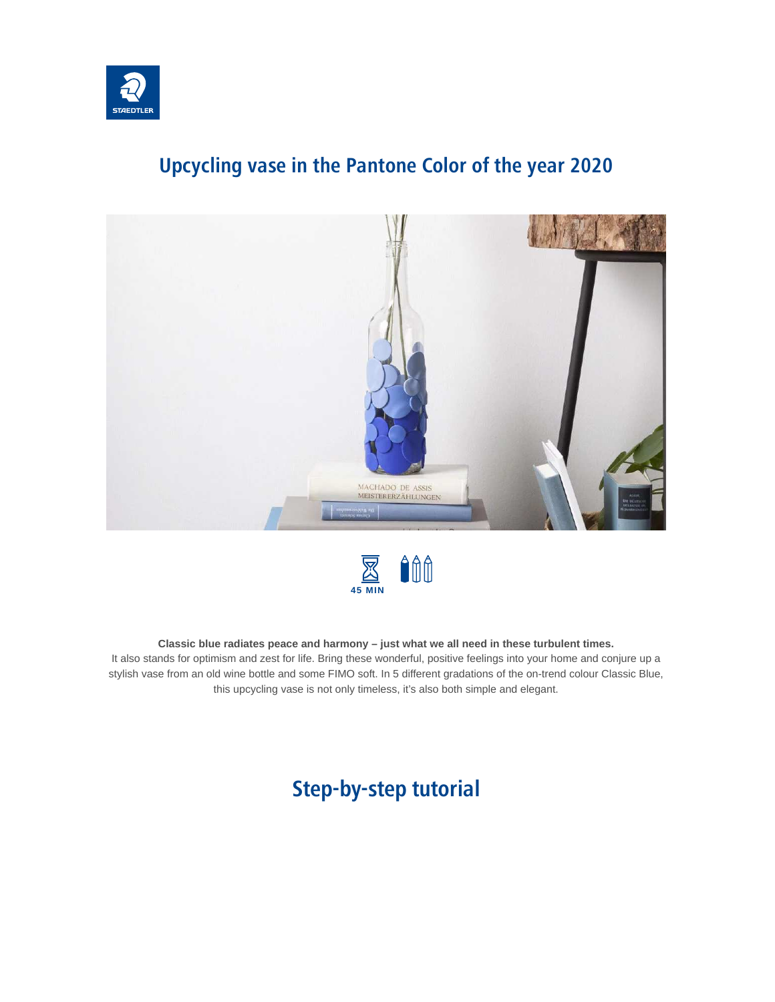

## **Upcycling vase in the Pantone Color of the year 2020**





#### **Classic blue radiates peace and harmony – just what we all need in these turbulent times.**

It also stands for optimism and zest for life. Bring these wonderful, positive feelings into your home and conjure up a stylish vase from an old wine bottle and some FIMO soft. In 5 different gradations of the on-trend colour Classic Blue, this upcycling vase is not only timeless, it's also both simple and elegant.

## **Step-by-step tutorial**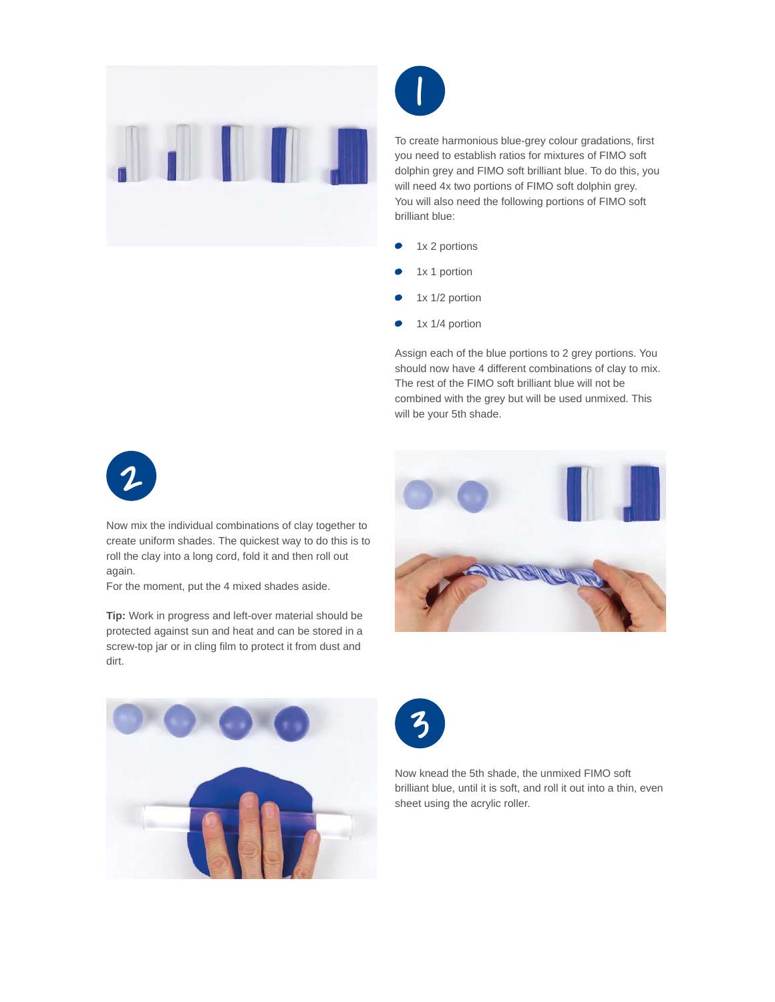



To create harmonious blue-grey colour gradations, first you need to establish ratios for mixtures of FIMO soft dolphin grey and FIMO soft brilliant blue. To do this, you will need 4x two portions of FIMO soft dolphin grey. You will also need the following portions of FIMO soft brilliant blue:

- 1x 2 portions
- 1x 1 portion
- 1x 1/2 portion
- 1x 1/4 portion

Assign each of the blue portions to 2 grey portions. You should now have 4 different combinations of clay to mix. The rest of the FIMO soft brilliant blue will not be combined with the grey but will be used unmixed. This will be your 5th shade.



Now mix the individual combinations of clay together to create uniform shades. The quickest way to do this is to roll the clay into a long cord, fold it and then roll out again.

For the moment, put the 4 mixed shades aside.

**Tip:** Work in progress and left-over material should be protected against sun and heat and can be stored in a screw-top jar or in cling film to protect it from dust and dirt.







Now knead the 5th shade, the unmixed FIMO soft brilliant blue, until it is soft, and roll it out into a thin, even sheet using the acrylic roller.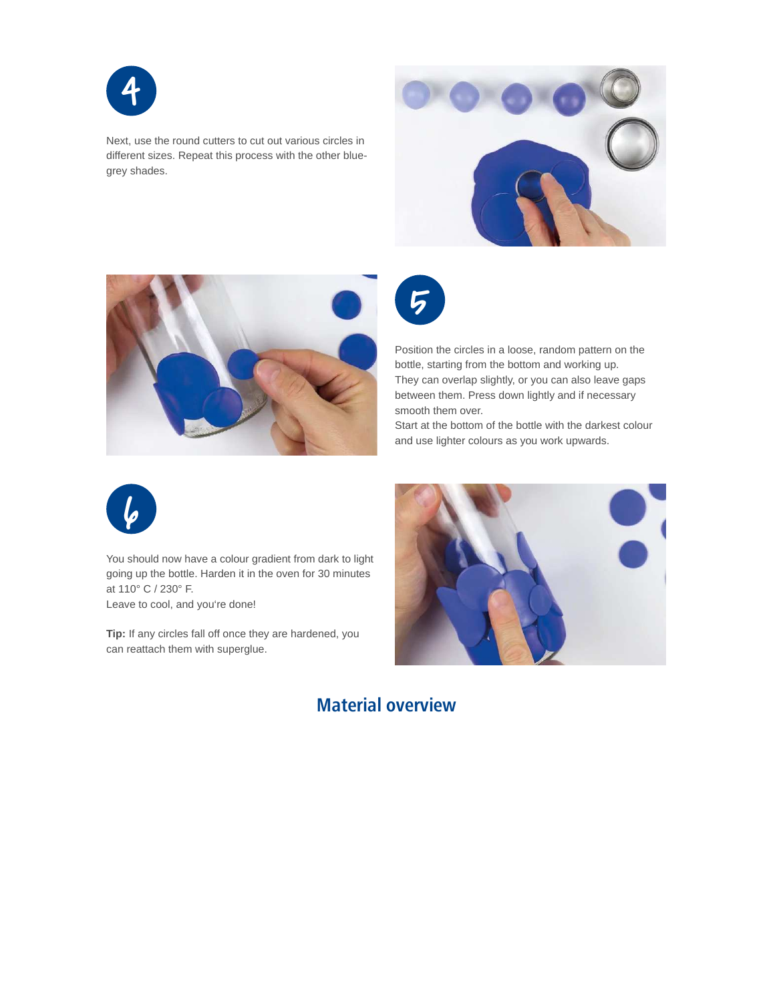

Next, use the round cutters to cut out various circles in different sizes. Repeat this process with the other bluegrey shades.





5

Position the circles in a loose, random pattern on the bottle, starting from the bottom and working up. They can overlap slightly, or you can also leave gaps between them. Press down lightly and if necessary smooth them over.

Start at the bottom of the bottle with the darkest colour and use lighter colours as you work upwards.



You should now have a colour gradient from dark to light going up the bottle. Harden it in the oven for 30 minutes at 110° C / 230° F. Leave to cool, and you're done!

**Tip:** If any circles fall off once they are hardened, you can reattach them with superglue.



### **Material overview**